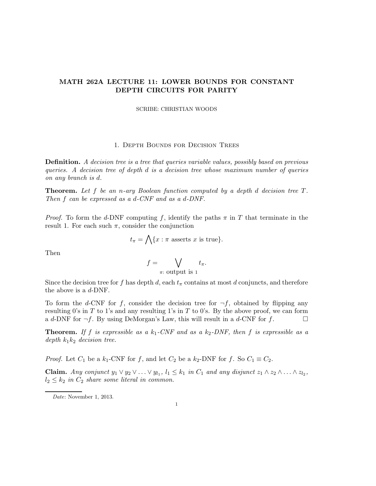# MATH 262A LECTURE 11: LOWER BOUNDS FOR CONSTANT DEPTH CIRCUITS FOR PARITY

#### SCRIBE: CHRISTIAN WOODS

## 1. Depth Bounds for Decision Trees

Definition. A decision tree is a tree that queries variable values, possibly based on previous queries. A decision tree of depth d is a decision tree whose maximum number of queries on any branch is d.

**Theorem.** Let f be an n-ary Boolean function computed by a depth d decision tree  $T$ . Then f can be expressed as a d-CNF and as a d-DNF.

*Proof.* To form the d-DNF computing f, identify the paths  $\pi$  in T that terminate in the result 1. For each such  $\pi$ , consider the conjunction

$$
t_{\pi} = \bigwedge \{x : \pi \text{ asserts } x \text{ is true}\}.
$$

Then

$$
f = \bigvee_{\pi: \text{ output is 1}} t_{\pi}.
$$

Since the decision tree for f has depth d, each  $t<sub>\pi</sub>$  contains at most d conjuncts, and therefore the above is a  $d$ -DNF.

To form the d-CNF for f, consider the decision tree for  $\neg f$ , obtained by flipping any resulting 0's in T to 1's and any resulting 1's in T to 0's. By the above proof, we can form a d-DNF for  $\neg f$ . By using DeMorgan's Law, this will result in a d-CNF for f.

**Theorem.** If f is expressible as a  $k_1$ -CNF and as a  $k_2$ -DNF, then f is expressible as a depth  $k_1k_2$  decision tree.

*Proof.* Let  $C_1$  be a  $k_1$ -CNF for f, and let  $C_2$  be a  $k_2$ -DNF for f. So  $C_1 \equiv C_2$ .

**Claim.** Any conjunct  $y_1 \vee y_2 \vee \ldots \vee y_{l_1}$ ,  $l_1 \leq k_1$  in  $C_1$  and any disjunct  $z_1 \wedge z_2 \wedge \ldots \wedge z_{l_2}$ ,  $l_2 \leq k_2$  in  $C_2$  share some literal in common.

Date: November 1, 2013.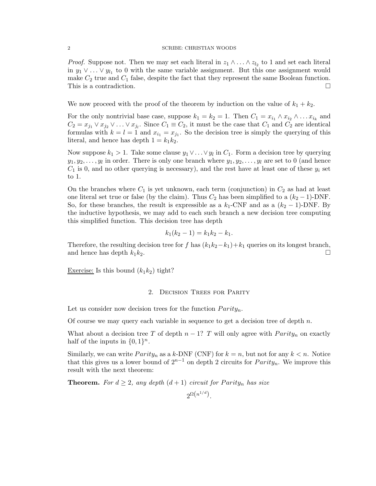#### 2 SCRIBE: CHRISTIAN WOODS

*Proof.* Suppose not. Then we may set each literal in  $z_1 \wedge \ldots \wedge z_{l_2}$  to 1 and set each literal in  $y_1 \vee \ldots \vee y_{l_1}$  to 0 with the same variable assignment. But this one assignment would make  $C_2$  true and  $C_1$  false, despite the fact that they represent the same Boolean function. This is a contradiction.  $\Box$ 

We now proceed with the proof of the theorem by induction on the value of  $k_1 + k_2$ .

For the only nontrivial base case, suppose  $k_1 = k_2 = 1$ . Then  $C_1 = x_{i_1} \wedge x_{i_2} \wedge \dots x_{i_k}$  and  $C_2 = x_{j_1} \vee x_{j_2} \vee \ldots \vee x_{j_l}$ . Since  $C_1 \equiv C_2$ , it must be the case that  $C_1$  and  $C_2$  are identical formulas with  $k = l = 1$  and  $x_{i_1} = x_{j_1}$ . So the decision tree is simply the querying of this literal, and hence has depth  $1 = k_1 k_2$ .

Now suppose  $k_1 > 1$ . Take some clause  $y_1 \vee \ldots \vee y_l$  in  $C_1$ . Form a decision tree by querying  $y_1, y_2, \ldots, y_l$  in order. There is only one branch where  $y_1, y_2, \ldots, y_l$  are set to 0 (and hence  $C_1$  is 0, and no other querying is necessary), and the rest have at least one of these  $y_i$  set to 1.

On the branches where  $C_1$  is yet unknown, each term (conjunction) in  $C_2$  as had at least one literal set true or false (by the claim). Thus  $C_2$  has been simplified to a  $(k_2 - 1)$ -DNF. So, for these branches, the result is expressible as a  $k_1$ -CNF and as a  $(k_2 - 1)$ -DNF. By the inductive hypothesis, we may add to each such branch a new decision tree computing this simplified function. This decision tree has depth

$$
k_1(k_2 - 1) = k_1 k_2 - k_1.
$$

Therefore, the resulting decision tree for f has  $(k_1k_2-k_1)+k_1$  queries on its longest branch, and hence has depth  $k_1k_2$ .

Exercise: Is this bound  $(k_1k_2)$  tight?

### 2. Decision Trees for Parity

Let us consider now decision trees for the function  $Parity_n$ .

Of course we may query each variable in sequence to get a decision tree of depth  $n$ .

What about a decision tree T of depth  $n-1$ ? T will only agree with  $Parity_n$  on exactly half of the inputs in  $\{0,1\}^n$ .

Similarly, we can write  $Parity_n$  as a k-DNF (CNF) for  $k = n$ , but not for any  $k < n$ . Notice that this gives us a lower bound of  $2^{n-1}$  on depth 2 circuits for  $Parity_n$ . We improve this result with the next theorem:

**Theorem.** For  $d \geq 2$ , any depth  $(d+1)$  circuit for Parity<sub>n</sub> has size

 $2^{\Omega\left(n^{1/d}\right)}$ .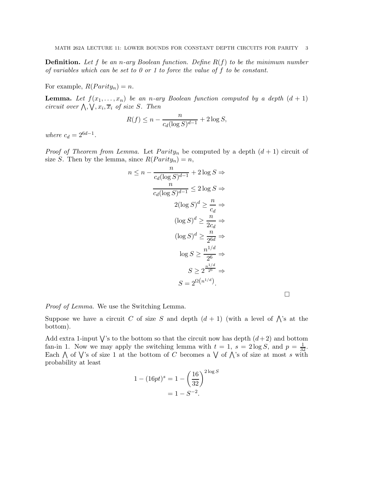**Definition.** Let f be an n-ary Boolean function. Define  $R(f)$  to be the minimum number of variables which can be set to  $0$  or 1 to force the value of f to be constant.

For example,  $R(Parity_n) = n$ .

**Lemma.** Let  $f(x_1, \ldots, x_n)$  be an n-ary Boolean function computed by a depth  $(d + 1)$ circuit over  $\bigwedge$ ,  $\bigvee$ ,  $x_i$ ,  $\overline{x}_i$  of size S. Then

$$
R(f) \le n - \frac{n}{c_d(\log S)^{d-1}} + 2\log S,
$$

where  $c_d = 2^{6d-1}$ .

*Proof of Theorem from Lemma.* Let  $Parity_n$  be computed by a depth  $(d + 1)$  circuit of size S. Then by the lemma, since  $R(Parity_n) = n$ ,

$$
n \le n - \frac{n}{c_d(\log S)^{d-1}} + 2\log S \Rightarrow
$$
  

$$
\frac{n}{c_d(\log S)^{d-1}} \le 2\log S \Rightarrow
$$
  

$$
2(\log S)^d \ge \frac{n}{c_d} \Rightarrow
$$
  

$$
(\log S)^d \ge \frac{n}{2c_d} \Rightarrow
$$
  

$$
(\log S)^d \ge \frac{n}{2^{6d}} \Rightarrow
$$
  

$$
\log S \ge \frac{n^{1/d}}{2^6} \Rightarrow
$$
  

$$
S \ge 2^{\frac{n^{1/d}}{2^6}} \Rightarrow
$$
  

$$
S = 2^{\Omega(n^{1/d})}.
$$

Proof of Lemma. We use the Switching Lemma.

Suppose we have a circuit C of size S and depth  $(d+1)$  (with a level of  $\bigwedge$ 's at the bottom).

Add extra 1-input  $\bigvee$ 's to the bottom so that the circuit now has depth  $(d+2)$  and bottom fan-in 1. Now we may apply the switching lemma with  $t = 1$ ,  $s = 2 \log S$ , and  $p = \frac{1}{32}$ . Each  $\bigwedge$  of  $\bigvee$ 's of size 1 at the bottom of C becomes a  $\bigvee$  of  $\bigwedge$ 's of size at most s with probability at least

$$
1 - (16pt)^{s} = 1 - \left(\frac{16}{32}\right)^{2 \log S}
$$

$$
= 1 - S^{-2}.
$$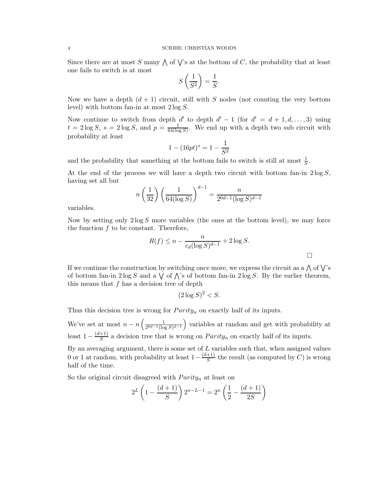#### 4 SCRIBE: CHRISTIAN WOODS

Since there are at most S many  $\bigwedge$  of  $\bigvee$ 's at the bottom of C, the probability that at least one fails to switch is at most

$$
S\left(\frac{1}{S^2}\right) = \frac{1}{S}.
$$

Now we have a depth  $(d + 1)$  circuit, still with S nodes (not counting the very bottom level) with bottom fan-in at most  $2 \log S$ .

Now continue to switch from depth d' to depth  $d' - 1$  (for  $d' = d + 1, d, ..., 3$ ) using  $t=2\log S, s=2\log S, \text{ and } p=\frac{1}{64\log S}$  $\frac{1}{64(\log S)}$ . We end up with a depth two sub circuit with probability at least

$$
1 - (16pt)^s = 1 - \frac{1}{S^2}
$$

and the probability that something at the bottom fails to switch is still at most  $\frac{1}{S}$ .

At the end of the process we will have a depth two circuit with bottom fan-in  $2 \log S$ , having set all but

$$
n\left(\frac{1}{32}\right)\left(\frac{1}{64(\log S)}\right)^{d-1} = \frac{n}{2^{6d-1}(\log S)^{d-1}}
$$

variables.

Now by setting only  $2 \log S$  more variables (the ones at the bottom level), we may force the function f to be constant. Therefore,

$$
R(f) \le n - \frac{n}{c_d(\log S)^{d-1}} + 2\log S.
$$

If we continue the construction by switching once more, we express the circuit as a  $\bigwedge$  of  $\bigvee$ 's of bottom fan-in  $2 \log S$  and a  $\bigvee$  of  $\bigwedge$ 's of bottom fan-in  $2 \log S$ . By the earlier theorem, this means that  $f$  has a decision tree of depth

$$
(2\log S)^2 < S.
$$

Thus this decision tree is wrong for  $Parity_n$  on exactly half of its inputs.

We've set at most  $n - n \left( \frac{1}{2^{6d-1} (\log n)^{3d}} \right)$  $\frac{1}{2^{6d-1}(\log S)^{d-1}}$  variables at random and get with probability at least  $1-\frac{(d+1)}{S}$  $\frac{+1}{S}$  a decision tree that is wrong on  $Parity_n$  on exactly half of its inputs.

By an averaging argument, there is some set of  $L$  variables such that, when assigned values 0 or 1 at random, with probability at least  $1-\frac{(d+1)}{S}$  $\frac{+1}{S}$  the result (as computed by C) is wrong half of the time.

So the original circuit disagreed with  $Parity_n$  at least on

$$
2^{L} \left( 1 - \frac{(d+1)}{S} \right) 2^{n-L-1} = 2^{n} \left( \frac{1}{2} - \frac{(d+1)}{2S} \right)
$$